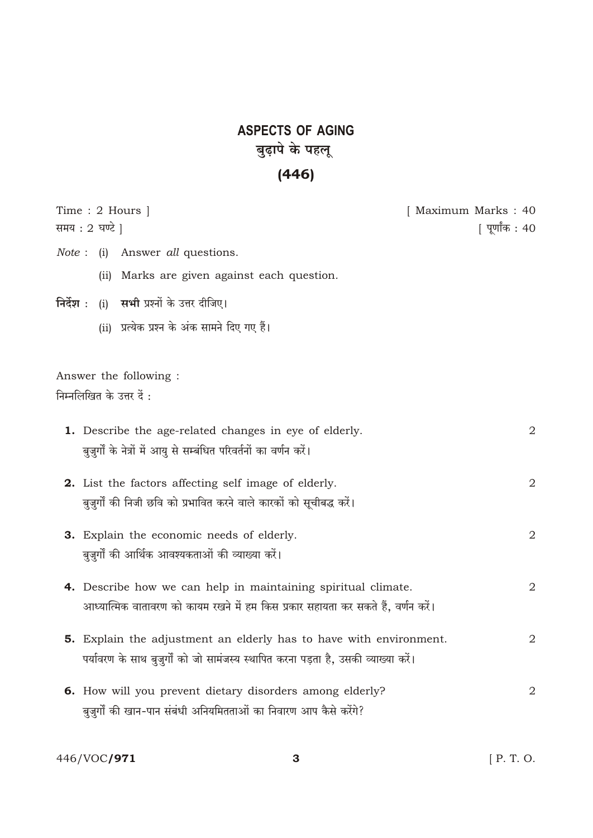## **ASPECTS OF AGING** बुढ़ापे के पहलू

## $(446)$

|       | Time : 2 Hours $\vert$<br>समय : 2 घण्टे                                             | [ Maximum Marks : 40<br>[ पूर्णांक : 40 |
|-------|-------------------------------------------------------------------------------------|-----------------------------------------|
| Note: | Answer all questions.<br>(i)                                                        |                                         |
|       | Marks are given against each question.<br>(ii)                                      |                                         |
|       | निर्देश : (i) सभी प्रश्नों के उत्तर दीजिए।                                          |                                         |
|       | (ii) प्रत्येक प्रश्न के अंक सामने दिए गए हैं।                                       |                                         |
|       |                                                                                     |                                         |
|       | Answer the following :                                                              |                                         |
|       | निम्नलिखित के उत्तर दें :                                                           |                                         |
|       | <b>1.</b> Describe the age-related changes in eye of elderly.                       | $\overline{2}$                          |
|       | बुज़ुर्गों के नेत्रों में आयु से सम्बंधित परिवर्तनों का वर्णन करें।                 |                                         |
|       | <b>2.</b> List the factors affecting self image of elderly.                         | 2                                       |
|       | बुज़ुर्गों की निजी छवि को प्रभावित करने वाले कारकों को सूचीबद्ध करें।               |                                         |
|       | 3. Explain the economic needs of elderly.                                           | 2                                       |
|       | बुजुर्गों की आर्थिक आवश्यकताओं की व्याख्या करें।                                    |                                         |
|       | 4. Describe how we can help in maintaining spiritual climate.                       | 2                                       |
|       | आध्यात्मिक वातावरण को कायम रखने में हम किस प्रकार सहायता कर सकते हैं, वर्णन करें।   |                                         |
|       | <b>5.</b> Explain the adjustment an elderly has to have with environment.           | 2                                       |
|       | पर्यावरण के साथ बुजुर्गों को जो सामंजस्य स्थापित करना पड़ता है, उसकी व्याख्या करें। |                                         |
|       | 6. How will you prevent dietary disorders among elderly?                            | 2                                       |
|       | बुज़ुर्गों की खान-पान संबंधी अनियमितताओं का निवारण आप कैसे करेंगे?                  |                                         |
|       |                                                                                     |                                         |

446/VOC**/971**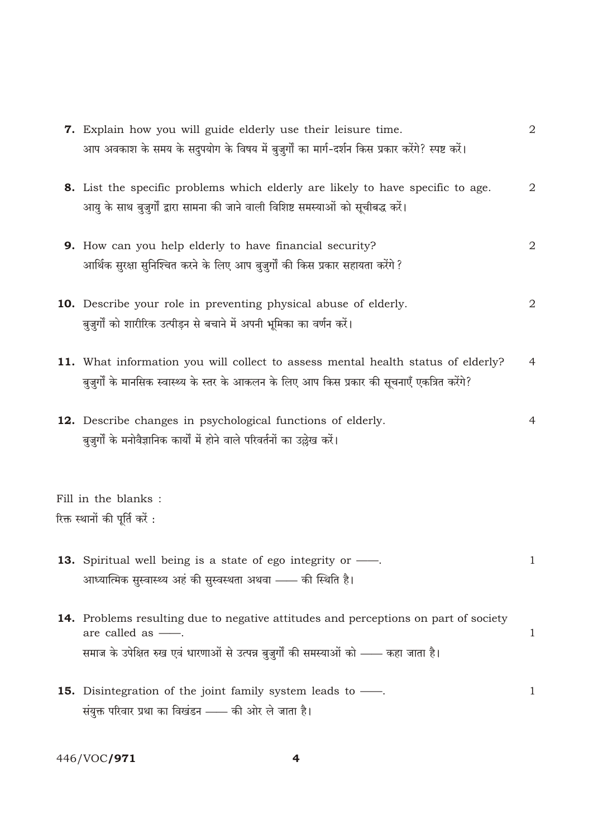| <b>7.</b> Explain how you will guide elderly use their leisure time.<br>आप अवकाश के समय के सदुपयोग के विषय में बुजुर्गों का मार्ग-दर्शन किस प्रकार करेंगे? स्पष्ट करें।                                      | 2            |
|--------------------------------------------------------------------------------------------------------------------------------------------------------------------------------------------------------------|--------------|
| <b>8.</b> List the specific problems which elderly are likely to have specific to age.                                                                                                                       | $\mathbf 2$  |
| आयु के साथ बुजुर्गों द्वारा सामना की जाने वाली विशिष्ट समस्याओं को सूचीबद्ध करें।                                                                                                                            |              |
| <b>9.</b> How can you help elderly to have financial security?<br>आर्थिक सुरक्षा सुनिश्चित करने के लिए आप बुजुर्गों की किस प्रकार सहायता करेंगे ?                                                            | $\mathbf 2$  |
| <b>10.</b> Describe your role in preventing physical abuse of elderly.<br>बुज़ुर्गों को शारीरिक उत्पीड़न से बचाने में अपनी भूमिका का वर्णन करें।                                                             | $\sqrt{2}$   |
| 11. What information you will collect to assess mental health status of elderly?<br>बुजुर्गों के मानसिक स्वास्थ्य के स्तर के आकलन के लिए आप किस प्रकार की सूचनाएँ एकत्रित करेंगे?                            | 4            |
| 12. Describe changes in psychological functions of elderly.<br>बुज़ुर्गों के मनोवैज्ञानिक कार्यों में होने वाले परिवर्तनों का उल्लेख करें।                                                                   | 4            |
| Fill in the blanks :                                                                                                                                                                                         |              |
| रिक्त स्थानों की पूर्ति करें :                                                                                                                                                                               |              |
| <b>13.</b> Spiritual well being is a state of ego integrity or $\frac{1}{1}$ .<br>आध्यात्मिक सुस्वास्थ्य अहं की सुस्वस्थता अथवा —— की स्थिति है।                                                             | $\mathbf 1$  |
| 14. Problems resulting due to negative attitudes and perceptions on part of society<br>are called as $-\!\!-\!\!$ .<br>समाज के उपेक्षित रुख एवं धारणाओं से उत्पन्न बुज़ुर्गों की समस्याओं को —— कहा जाता है। | 1            |
| <b>15.</b> Disintegration of the joint family system leads to —<br>संयुक्त परिवार प्रथा का विखंडन - की ओर ले जाता है।                                                                                        | $\mathbf{1}$ |

446/VOC**/971** 

 $\overline{\mathbf{4}}$